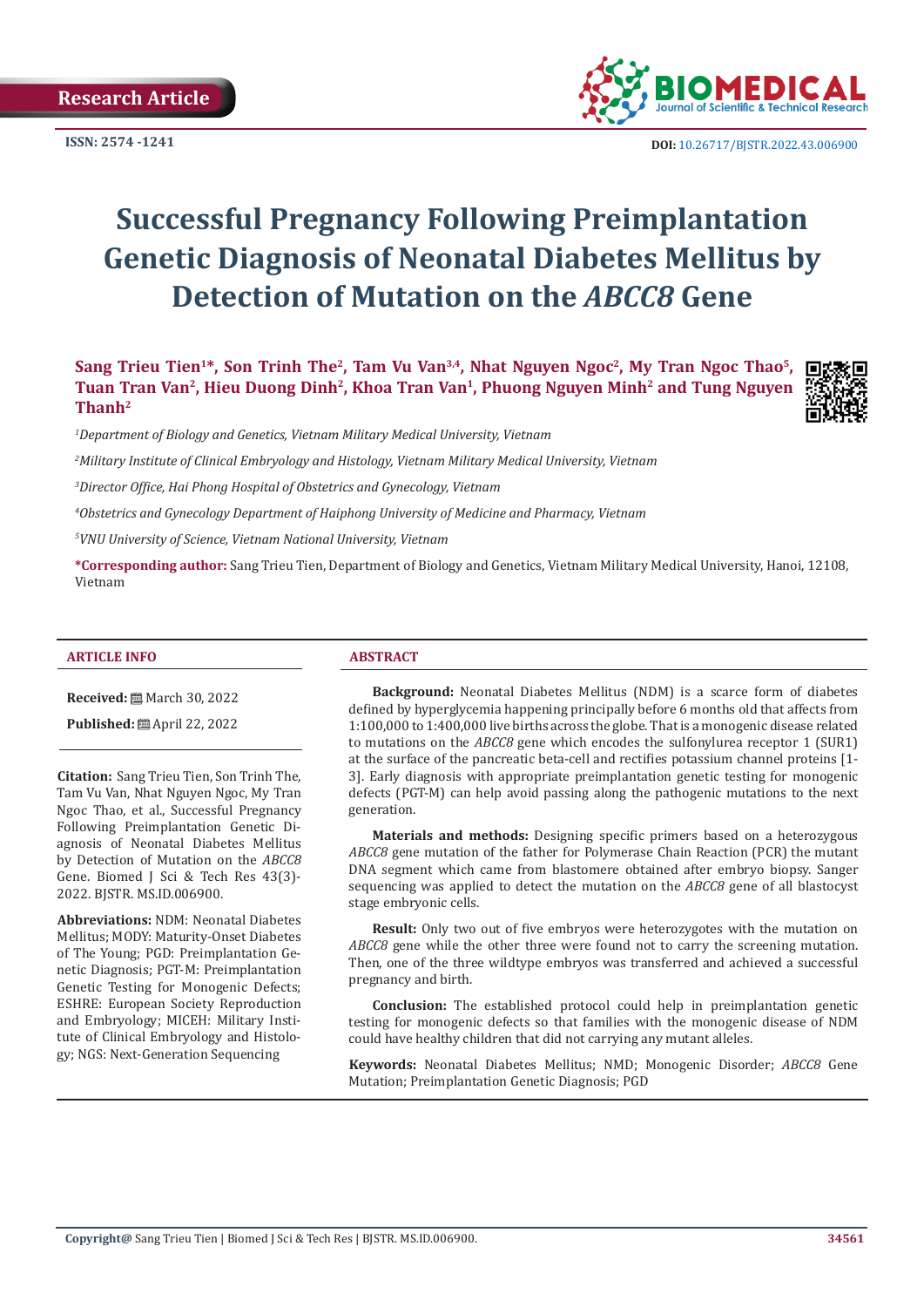

**ISSN: 2574 -1241 DOI:** [10.26717/BJSTR.2022.43.006900](https://dx.doi.org/10.26717/BJSTR.2022.43.006900)

# **Successful Pregnancy Following Preimplantation Genetic Diagnosis of Neonatal Diabetes Mellitus by Detection of Mutation on the** *ABCC8* **Gene**

Sang Trieu Tien<sup>1\*</sup>, Son Trinh The<sup>2</sup>, Tam Vu Van<sup>3,4</sup>, Nhat Nguyen Ngoc<sup>2</sup>, My Tran Ngoc Thao<sup>5</sup>, **Tuan Tran Van2, Hieu Duong Dinh2, Khoa Tran Van1, Phuong Nguyen Minh2 and Tung Nguyen Thanh2**



*1 Department of Biology and Genetics, Vietnam Military Medical University, Vietnam*

*2 Military Institute of Clinical Embryology and Histology, Vietnam Military Medical University, Vietnam*

*3 Director Office, Hai Phong Hospital of Obstetrics and Gynecology, Vietnam*

*4 Obstetrics and Gynecology Department of Haiphong University of Medicine and Pharmacy, Vietnam*

*5 VNU University of Science, Vietnam National University, Vietnam*

**\*Corresponding author:** Sang Trieu Tien, Department of Biology and Genetics, Vietnam Military Medical University, Hanoi, 12108, Vietnam

#### **ARTICLE INFO ABSTRACT**

**Received:** March 30, 2022

**Published:** ■ April 22, 2022

**Citation:** Sang Trieu Tien, Son Trinh The, Tam Vu Van, Nhat Nguyen Ngoc, My Tran Ngoc Thao, et al., Successful Pregnancy Following Preimplantation Genetic Diagnosis of Neonatal Diabetes Mellitus by Detection of Mutation on the *ABCC8* Gene. Biomed J Sci & Tech Res 43(3)- 2022. BJSTR. MS.ID.006900.

**Abbreviations:** NDM: Neonatal Diabetes Mellitus; MODY: Maturity-Onset Diabetes of The Young; PGD: Preimplantation Genetic Diagnosis; PGT-M: Preimplantation Genetic Testing for Monogenic Defects; ESHRE: European Society Reproduction and Embryology; MICEH: Military Institute of Clinical Embryology and Histology; NGS: Next-Generation Sequencing

**Background:** Neonatal Diabetes Mellitus (NDM) is a scarce form of diabetes defined by hyperglycemia happening principally before 6 months old that affects from 1:100,000 to 1:400,000 live births across the globe. That is a monogenic disease related to mutations on the *ABCC8* gene which encodes the sulfonylurea receptor 1 (SUR1) at the surface of the pancreatic beta-cell and rectifies potassium channel proteins [1- 3]. Early diagnosis with appropriate preimplantation genetic testing for monogenic defects (PGT-M) can help avoid passing along the pathogenic mutations to the next generation.

**Materials and methods:** Designing specific primers based on a heterozygous *ABCC8* gene mutation of the father for Polymerase Chain Reaction (PCR) the mutant DNA segment which came from blastomere obtained after embryo biopsy. Sanger sequencing was applied to detect the mutation on the *ABCC8* gene of all blastocyst stage embryonic cells.

**Result:** Only two out of five embryos were heterozygotes with the mutation on *ABCC8* gene while the other three were found not to carry the screening mutation. Then, one of the three wildtype embryos was transferred and achieved a successful pregnancy and birth.

**Conclusion:** The established protocol could help in preimplantation genetic testing for monogenic defects so that families with the monogenic disease of NDM could have healthy children that did not carrying any mutant alleles.

**Keywords:** Neonatal Diabetes Mellitus; NMD; Monogenic Disorder; *ABCC8* Gene Mutation; Preimplantation Genetic Diagnosis; PGD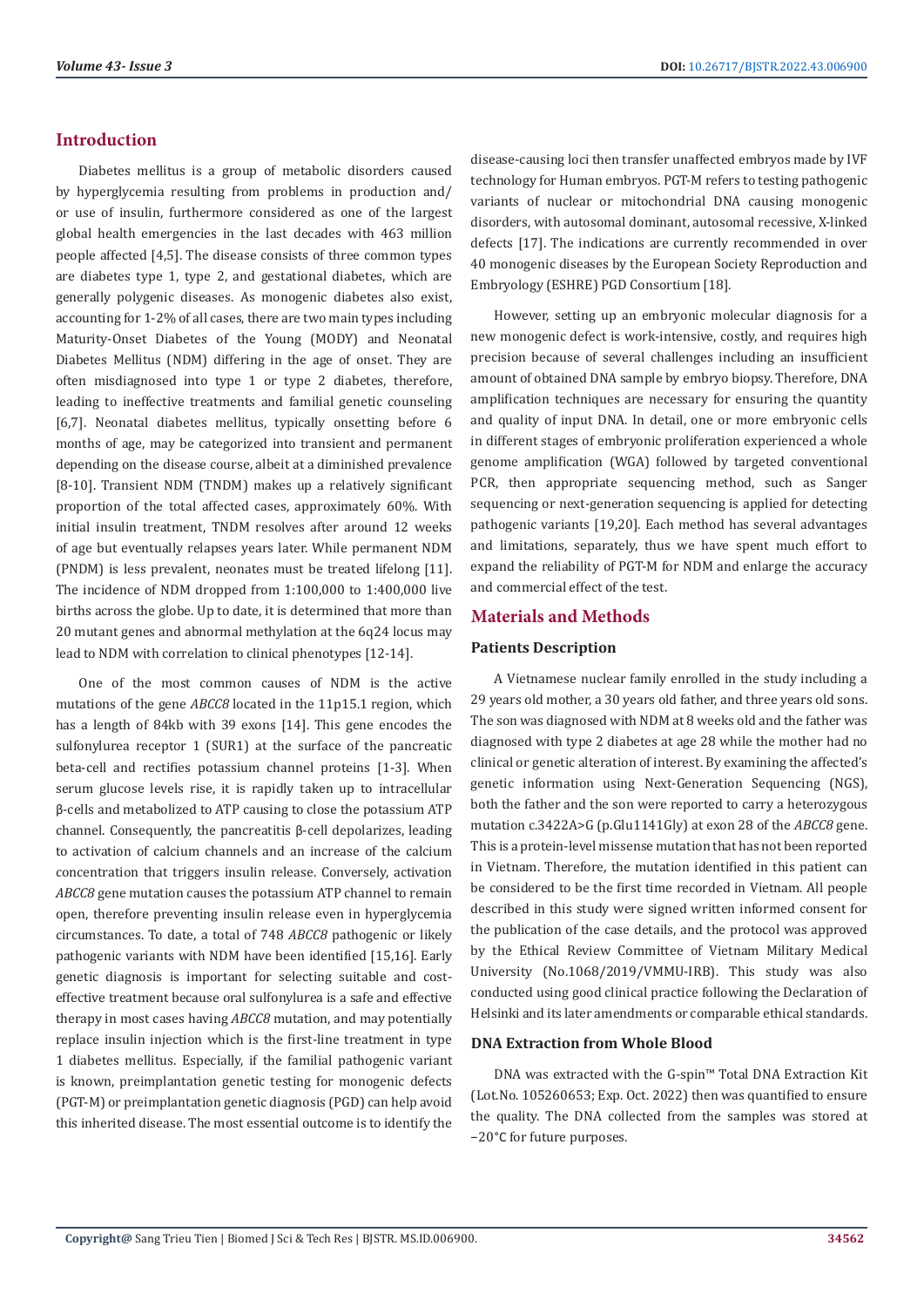# **Introduction**

Diabetes mellitus is a group of metabolic disorders caused by hyperglycemia resulting from problems in production and/ or use of insulin, furthermore considered as one of the largest global health emergencies in the last decades with 463 million people affected [4,5]. The disease consists of three common types are diabetes type 1, type 2, and gestational diabetes, which are generally polygenic diseases. As monogenic diabetes also exist, accounting for 1-2% of all cases, there are two main types including Maturity-Onset Diabetes of the Young (MODY) and Neonatal Diabetes Mellitus (NDM) differing in the age of onset. They are often misdiagnosed into type 1 or type 2 diabetes, therefore, leading to ineffective treatments and familial genetic counseling [6,7]. Neonatal diabetes mellitus, typically onsetting before 6 months of age, may be categorized into transient and permanent depending on the disease course, albeit at a diminished prevalence [8-10]. Transient NDM (TNDM) makes up a relatively significant proportion of the total affected cases, approximately 60%. With initial insulin treatment, TNDM resolves after around 12 weeks of age but eventually relapses years later. While permanent NDM (PNDM) is less prevalent, neonates must be treated lifelong [11]. The incidence of NDM dropped from 1:100,000 to 1:400,000 live births across the globe. Up to date, it is determined that more than 20 mutant genes and abnormal methylation at the 6q24 locus may lead to NDM with correlation to clinical phenotypes [12-14].

One of the most common causes of NDM is the active mutations of the gene *ABCC8* located in the 11p15.1 region, which has a length of 84kb with 39 exons [14]. This gene encodes the sulfonylurea receptor 1 (SUR1) at the surface of the pancreatic beta-cell and rectifies potassium channel proteins [1-3]. When serum glucose levels rise, it is rapidly taken up to intracellular β-cells and metabolized to ATP causing to close the potassium ATP channel. Consequently, the pancreatitis β-cell depolarizes, leading to activation of calcium channels and an increase of the calcium concentration that triggers insulin release. Conversely, activation *ABCC8* gene mutation causes the potassium ATP channel to remain open, therefore preventing insulin release even in hyperglycemia circumstances. To date, a total of 748 *ABCC8* pathogenic or likely pathogenic variants with NDM have been identified [15,16]. Early genetic diagnosis is important for selecting suitable and costeffective treatment because oral sulfonylurea is a safe and effective therapy in most cases having *ABCC8* mutation, and may potentially replace insulin injection which is the first-line treatment in type 1 diabetes mellitus. Especially, if the familial pathogenic variant is known, preimplantation genetic testing for monogenic defects (PGT-M) or preimplantation genetic diagnosis (PGD) can help avoid this inherited disease. The most essential outcome is to identify the disease-causing loci then transfer unaffected embryos made by IVF technology for Human embryos. PGT-M refers to testing pathogenic variants of nuclear or mitochondrial DNA causing monogenic disorders, with autosomal dominant, autosomal recessive, X-linked defects [17]. The indications are currently recommended in over 40 monogenic diseases by the European Society Reproduction and Embryology (ESHRE) PGD Consortium [18].

However, setting up an embryonic molecular diagnosis for a new monogenic defect is work-intensive, costly, and requires high precision because of several challenges including an insufficient amount of obtained DNA sample by embryo biopsy. Therefore, DNA amplification techniques are necessary for ensuring the quantity and quality of input DNA. In detail, one or more embryonic cells in different stages of embryonic proliferation experienced a whole genome amplification (WGA) followed by targeted conventional PCR, then appropriate sequencing method, such as Sanger sequencing or next-generation sequencing is applied for detecting pathogenic variants [19,20]. Each method has several advantages and limitations, separately, thus we have spent much effort to expand the reliability of PGT-M for NDM and enlarge the accuracy and commercial effect of the test.

# **Materials and Methods**

### **Patients Description**

A Vietnamese nuclear family enrolled in the study including a 29 years old mother, a 30 years old father, and three years old sons. The son was diagnosed with NDM at 8 weeks old and the father was diagnosed with type 2 diabetes at age 28 while the mother had no clinical or genetic alteration of interest. By examining the affected's genetic information using Next-Generation Sequencing (NGS), both the father and the son were reported to carry a heterozygous mutation c.3422A>G (p.Glu1141Gly) at exon 28 of the *ABCC8* gene. This is a protein-level missense mutation that has not been reported in Vietnam. Therefore, the mutation identified in this patient can be considered to be the first time recorded in Vietnam. All people described in this study were signed written informed consent for the publication of the case details, and the protocol was approved by the Ethical Review Committee of Vietnam Military Medical University (No.1068/2019/VMMU-IRB). This study was also conducted using good clinical practice following the Declaration of Helsinki and its later amendments or comparable ethical standards.

### **DNA Extraction from Whole Blood**

DNA was extracted with the G-spin™ Total DNA Extraction Kit (Lot.No. 105260653; Exp. Oct. 2022) then was quantified to ensure the quality. The DNA collected from the samples was stored at −20°C for future purposes.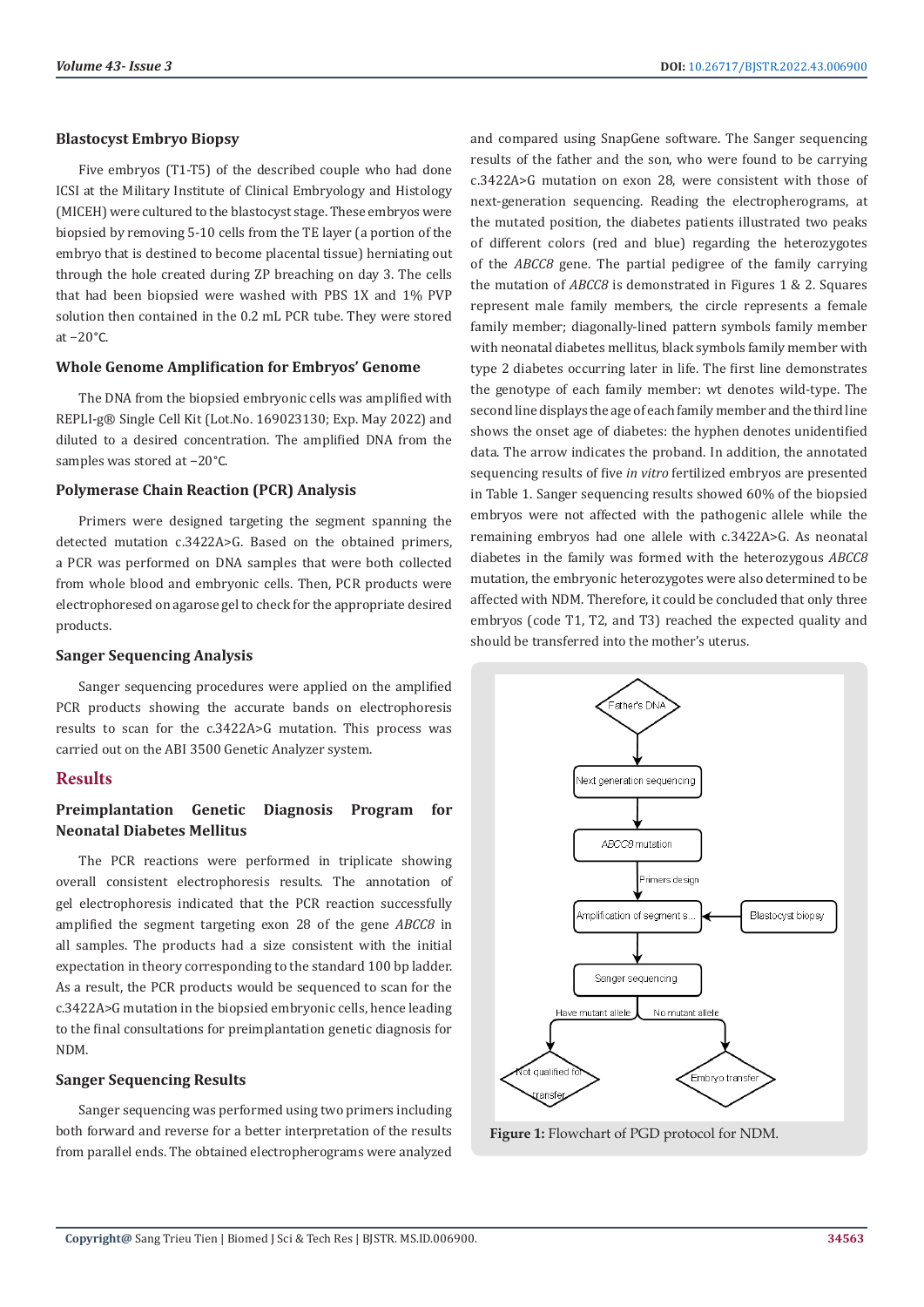#### **Blastocyst Embryo Biopsy**

Five embryos (T1-T5) of the described couple who had done ICSI at the Military Institute of Clinical Embryology and Histology (MICEH) were cultured to the blastocyst stage. These embryos were biopsied by removing 5-10 cells from the TE layer (a portion of the embryo that is destined to become placental tissue) herniating out through the hole created during ZP breaching on day 3. The cells that had been biopsied were washed with PBS 1X and 1% PVP solution then contained in the 0.2 mL PCR tube. They were stored at −20°C.

### **Whole Genome Amplification for Embryos' Genome**

The DNA from the biopsied embryonic cells was amplified with REPLI-g® Single Cell Kit (Lot.No. 169023130; Exp. May 2022) and diluted to a desired concentration. The amplified DNA from the samples was stored at −20°C.

#### **Polymerase Chain Reaction (PCR) Analysis**

Primers were designed targeting the segment spanning the detected mutation c.3422A>G. Based on the obtained primers, a PCR was performed on DNA samples that were both collected from whole blood and embryonic cells. Then, PCR products were electrophoresed on agarose gel to check for the appropriate desired products.

#### **Sanger Sequencing Analysis**

Sanger sequencing procedures were applied on the amplified PCR products showing the accurate bands on electrophoresis results to scan for the c.3422A>G mutation. This process was carried out on the ABI 3500 Genetic Analyzer system.

### **Results**

# **Preimplantation Genetic Diagnosis Program for Neonatal Diabetes Mellitus**

The PCR reactions were performed in triplicate showing overall consistent electrophoresis results. The annotation of gel electrophoresis indicated that the PCR reaction successfully amplified the segment targeting exon 28 of the gene *ABCC8* in all samples. The products had a size consistent with the initial expectation in theory corresponding to the standard 100 bp ladder. As a result, the PCR products would be sequenced to scan for the c.3422A>G mutation in the biopsied embryonic cells, hence leading to the final consultations for preimplantation genetic diagnosis for NDM.

#### **Sanger Sequencing Results**

Sanger sequencing was performed using two primers including both forward and reverse for a better interpretation of the results from parallel ends. The obtained electropherograms were analyzed

and compared using SnapGene software. The Sanger sequencing results of the father and the son, who were found to be carrying c.3422A>G mutation on exon 28, were consistent with those of next-generation sequencing. Reading the electropherograms, at the mutated position, the diabetes patients illustrated two peaks of different colors (red and blue) regarding the heterozygotes of the *ABCC8* gene. The partial pedigree of the family carrying the mutation of *ABCC8* is demonstrated in Figures 1 & 2. Squares represent male family members, the circle represents a female family member; diagonally-lined pattern symbols family member with neonatal diabetes mellitus, black symbols family member with type 2 diabetes occurring later in life. The first line demonstrates the genotype of each family member: wt denotes wild-type. The second line displays the age of each family member and the third line shows the onset age of diabetes: the hyphen denotes unidentified data. The arrow indicates the proband. In addition, the annotated sequencing results of five *in vitro* fertilized embryos are presented in Table 1. Sanger sequencing results showed 60% of the biopsied embryos were not affected with the pathogenic allele while the remaining embryos had one allele with c.3422A>G. As neonatal diabetes in the family was formed with the heterozygous *ABCC8* mutation, the embryonic heterozygotes were also determined to be affected with NDM. Therefore, it could be concluded that only three embryos (code T1, T2, and T3) reached the expected quality and should be transferred into the mother's uterus.



**Figure 1:** Flowchart of PGD protocol for NDM.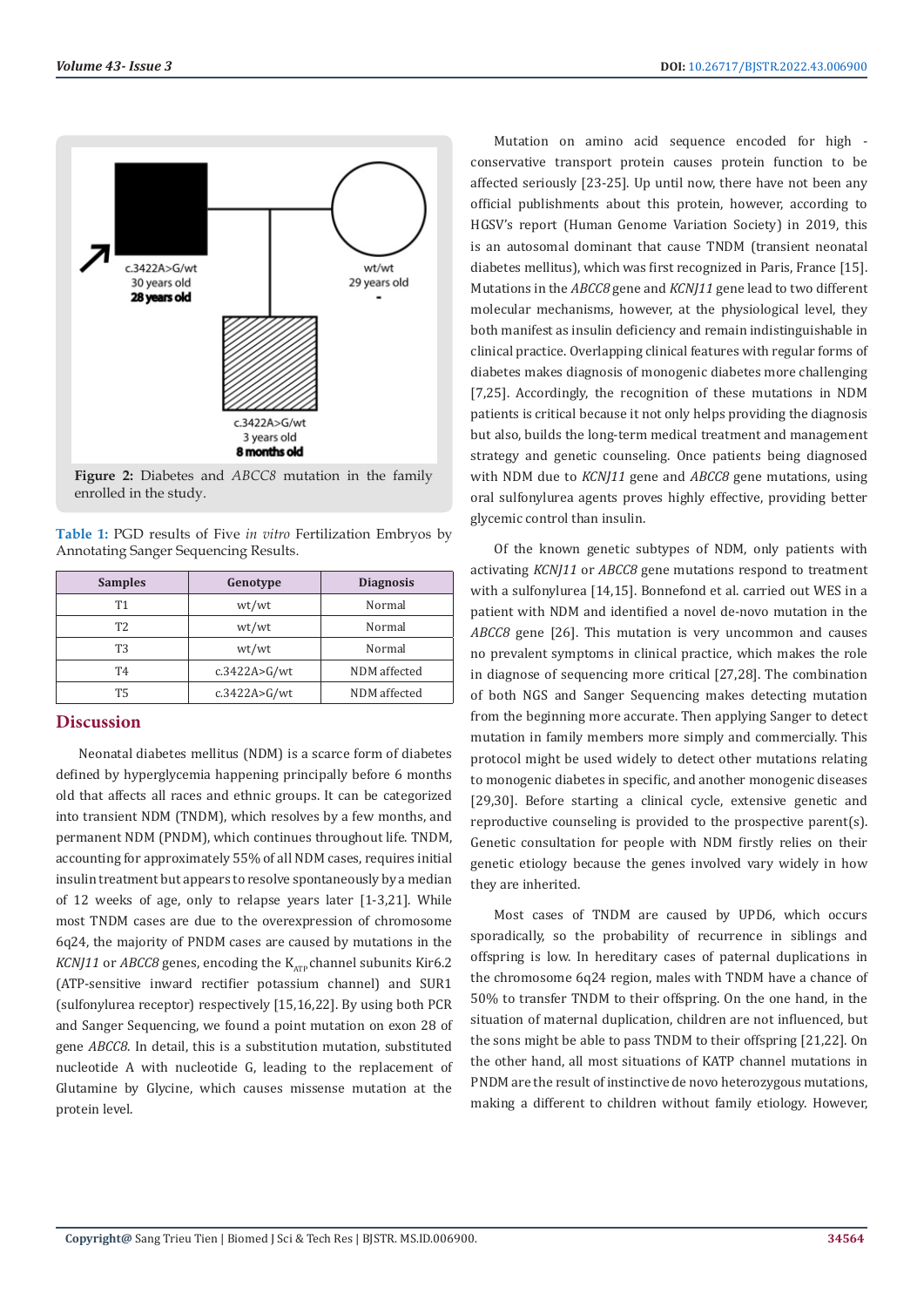

**Figure 2:** Diabetes and *ABCC8* mutation in the family enrolled in the study.

**Table 1:** PGD results of Five *in vitro* Fertilization Embryos by Annotating Sanger Sequencing Results.

| <b>Samples</b> | Genotype     | <b>Diagnosis</b> |
|----------------|--------------|------------------|
| Т1             | wt/wt        | Normal           |
| T <sub>2</sub> | wt/wt        | Normal           |
| T3             | wt/wt        | Normal           |
| T4             | c.3422A>G/wt | NDM affected     |
| <b>T5</b>      | c.3422A>G/wt | NDM affected     |

## **Discussion**

Neonatal diabetes mellitus (NDM) is a scarce form of diabetes defined by hyperglycemia happening principally before 6 months old that affects all races and ethnic groups. It can be categorized into transient NDM (TNDM), which resolves by a few months, and permanent NDM (PNDM), which continues throughout life. TNDM, accounting for approximately 55% of all NDM cases, requires initial insulin treatment but appears to resolve spontaneously by a median of 12 weeks of age, only to relapse years later [1-3,21]. While most TNDM cases are due to the overexpression of chromosome 6q24, the majority of PNDM cases are caused by mutations in the *KCNJ11* or *ABCC8* genes, encoding the  $K_{\text{atm}}$  channel subunits Kir6.2 (ATP-sensitive inward rectifier potassium channel) and SUR1 (sulfonylurea receptor) respectively [15,16,22]. By using both PCR and Sanger Sequencing, we found a point mutation on exon 28 of gene *ABCC8*. In detail, this is a substitution mutation, substituted nucleotide A with nucleotide G, leading to the replacement of Glutamine by Glycine, which causes missense mutation at the protein level.

Mutation on amino acid sequence encoded for high conservative transport protein causes protein function to be affected seriously [23-25]. Up until now, there have not been any official publishments about this protein, however, according to HGSV's report (Human Genome Variation Society) in 2019, this is an autosomal dominant that cause TNDM (transient neonatal diabetes mellitus), which was first recognized in Paris, France [15]. Mutations in the *ABCC8* gene and *KCNJ11* gene lead to two different molecular mechanisms, however, at the physiological level, they both manifest as insulin deficiency and remain indistinguishable in clinical practice. Overlapping clinical features with regular forms of diabetes makes diagnosis of monogenic diabetes more challenging [7,25]. Accordingly, the recognition of these mutations in NDM patients is critical because it not only helps providing the diagnosis but also, builds the long-term medical treatment and management strategy and genetic counseling. Once patients being diagnosed with NDM due to *KCNJ11* gene and *ABCC8* gene mutations, using oral sulfonylurea agents proves highly effective, providing better glycemic control than insulin.

Of the known genetic subtypes of NDM, only patients with activating *KCNJ11* or *ABCC8* gene mutations respond to treatment with a sulfonylurea [14,15]. Bonnefond et al. carried out WES in a patient with NDM and identified a novel de-novo mutation in the *ABCC8* gene [26]. This mutation is very uncommon and causes no prevalent symptoms in clinical practice, which makes the role in diagnose of sequencing more critical [27,28]. The combination of both NGS and Sanger Sequencing makes detecting mutation from the beginning more accurate. Then applying Sanger to detect mutation in family members more simply and commercially. This protocol might be used widely to detect other mutations relating to monogenic diabetes in specific, and another monogenic diseases [29,30]. Before starting a clinical cycle, extensive genetic and reproductive counseling is provided to the prospective parent(s). Genetic consultation for people with NDM firstly relies on their genetic etiology because the genes involved vary widely in how they are inherited.

Most cases of TNDM are caused by UPD6, which occurs sporadically, so the probability of recurrence in siblings and offspring is low. In hereditary cases of paternal duplications in the chromosome 6q24 region, males with TNDM have a chance of 50% to transfer TNDM to their offspring. On the one hand, in the situation of maternal duplication, children are not influenced, but the sons might be able to pass TNDM to their offspring [21,22]. On the other hand, all most situations of KATP channel mutations in PNDM are the result of instinctive de novo heterozygous mutations, making a different to children without family etiology. However,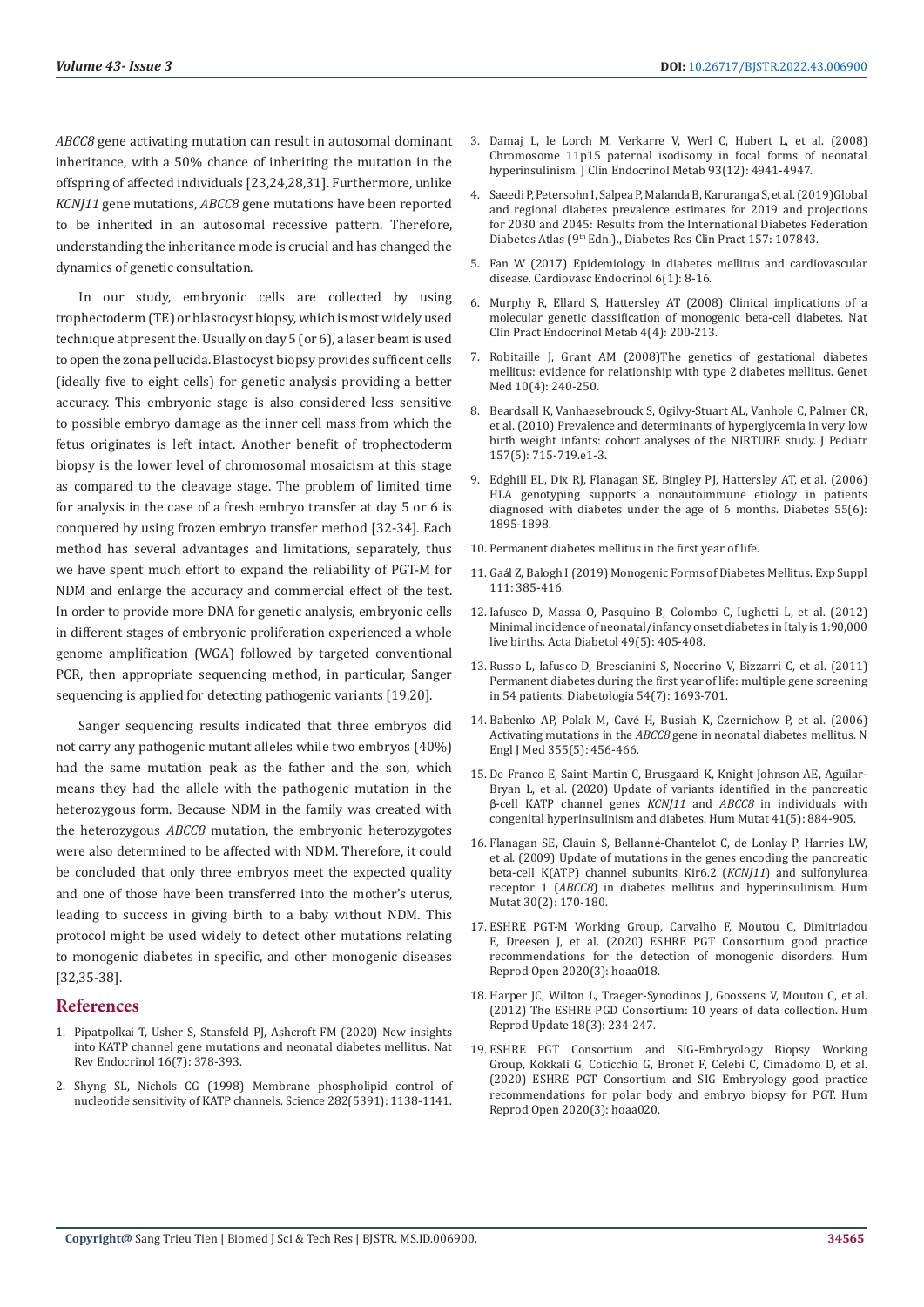*ABCC8* gene activating mutation can result in autosomal dominant inheritance, with a 50% chance of inheriting the mutation in the offspring of affected individuals [23,24,28,31]. Furthermore, unlike *KCNJ11* gene mutations, *ABCC8* gene mutations have been reported to be inherited in an autosomal recessive pattern. Therefore, understanding the inheritance mode is crucial and has changed the dynamics of genetic consultation.

In our study, embryonic cells are collected by using trophectoderm (TE) or blastocyst biopsy, which is most widely used technique at present the. Usually on day 5 (or 6), a laser beam is used to open the zona pellucida. Blastocyst biopsy provides sufficent cells (ideally five to eight cells) for genetic analysis providing a better accuracy. This embryonic stage is also considered less sensitive to possible embryo damage as the inner cell mass from which the fetus originates is left intact. Another benefit of trophectoderm biopsy is the lower level of chromosomal mosaicism at this stage as compared to the cleavage stage. The problem of limited time for analysis in the case of a fresh embryo transfer at day 5 or 6 is conquered by using frozen embryo transfer method [32-34]. Each method has several advantages and limitations, separately, thus we have spent much effort to expand the reliability of PGT-M for NDM and enlarge the accuracy and commercial effect of the test. In order to provide more DNA for genetic analysis, embryonic cells in different stages of embryonic proliferation experienced a whole genome amplification (WGA) followed by targeted conventional PCR, then appropriate sequencing method, in particular, Sanger sequencing is applied for detecting pathogenic variants [19,20].

Sanger sequencing results indicated that three embryos did not carry any pathogenic mutant alleles while two embryos (40%) had the same mutation peak as the father and the son, which means they had the allele with the pathogenic mutation in the heterozygous form. Because NDM in the family was created with the heterozygous *ABCC8* mutation, the embryonic heterozygotes were also determined to be affected with NDM. Therefore, it could be concluded that only three embryos meet the expected quality and one of those have been transferred into the mother's uterus, leading to success in giving birth to a baby without NDM. This protocol might be used widely to detect other mutations relating to monogenic diabetes in specific, and other monogenic diseases [32,35-38].

### **References**

- 1. [Pipatpolkai T, Usher S, Stansfeld PJ, Ashcroft FM \(2020\) New insights](https://www.nature.com/articles/s41574-020-0351-y)  [into KATP channel gene mutations and neonatal diabetes mellitus. Nat](https://www.nature.com/articles/s41574-020-0351-y)  [Rev Endocrinol 16\(7\): 378-393.](https://www.nature.com/articles/s41574-020-0351-y)
- 2. [Shyng SL, Nichols CG \(1998\) Membrane phospholipid control of](https://pubmed.ncbi.nlm.nih.gov/9804554/)  [nucleotide sensitivity of KATP channels. Science 282\(5391\): 1138-1141.](https://pubmed.ncbi.nlm.nih.gov/9804554/)
- 3. Damaj L, le Lorch M, Verkarre V, Werl C, Hubert L, et al. (2008) Chromosome 11p15 paternal isodisomy in focal forms of neonatal hyperinsulinism. J Clin Endocrinol Metab 93(12): 4941-4947.
- 4. [Saeedi P, Petersohn I, Salpea P, Malanda B, Karuranga S, et al. \(2019\)Global](https://pubmed.ncbi.nlm.nih.gov/31518657/) [and regional diabetes prevalence estimates for 2019 and projections](https://pubmed.ncbi.nlm.nih.gov/31518657/) [for 2030 and 2045: Results from the International Diabetes Federation](https://pubmed.ncbi.nlm.nih.gov/31518657/) Diabetes Atlas (9<sup>th</sup> [Edn.\)., Diabetes Res Clin Pract 157: 107843.](https://pubmed.ncbi.nlm.nih.gov/31518657/)
- 5. [Fan W \(2017\) Epidemiology in diabetes mellitus and cardiovascular](https://www.ncbi.nlm.nih.gov/pmc/articles/PMC6768526/) [disease. Cardiovasc Endocrinol 6\(1\): 8-16.](https://www.ncbi.nlm.nih.gov/pmc/articles/PMC6768526/)
- 6. [Murphy R, Ellard S, Hattersley AT \(2008\) Clinical implications of a](https://pubmed.ncbi.nlm.nih.gov/18301398/) [molecular genetic classification of monogenic beta-cell diabetes. Nat](https://pubmed.ncbi.nlm.nih.gov/18301398/) [Clin Pract Endocrinol Metab 4\(4\): 200-213.](https://pubmed.ncbi.nlm.nih.gov/18301398/)
- 7. [Robitaille J, Grant AM \(2008\)The genetics of gestational diabetes](https://www.sciencedirect.com/science/article/pii/S1098360021029063) [mellitus: evidence for relationship with type 2 diabetes mellitus. Genet](https://www.sciencedirect.com/science/article/pii/S1098360021029063) [Med 10\(4\): 240-250.](https://www.sciencedirect.com/science/article/pii/S1098360021029063)
- 8. Beardsall K, Vanhaesebrouck S, Ogilvy-Stuart AL, Vanhole C, Palmer CR, et al. (2010) Prevalence and determinants of hyperglycemia in very low birth weight infants: cohort analyses of the NIRTURE study. J Pediatr 157(5): 715-719.e1-3.
- 9. [Edghill EL, Dix RJ, Flanagan SE, Bingley PJ, Hattersley AT, et al. \(2006\)](https://pubmed.ncbi.nlm.nih.gov/16731860/) [HLA genotyping supports a nonautoimmune etiology in patients](https://pubmed.ncbi.nlm.nih.gov/16731860/) [diagnosed with diabetes under the age of 6 months. Diabetes 55\(6\):](https://pubmed.ncbi.nlm.nih.gov/16731860/) [1895-1898.](https://pubmed.ncbi.nlm.nih.gov/16731860/)
- 10. [Permanent diabetes mellitus in the first year of life](https://pubmed.ncbi.nlm.nih.gov/12107723/).
- 11. Gaá[l Z, Balogh I \(2019\) Monogenic Forms of Diabetes Mellitus. Exp Suppl](https://pubmed.ncbi.nlm.nih.gov/31588541/) [111: 385-416.](https://pubmed.ncbi.nlm.nih.gov/31588541/)
- 12. Iafusco D, Massa O, Pasquino B, Colombo C, Iughetti L, et al. (2012) Minimal incidence of neonatal/infancy onset diabetes in Italy is 1:90,000 live births. Acta Diabetol 49(5): 405-408.
- 13. [Russo L, Iafusco D, Brescianini S, Nocerino V, Bizzarri C, et al. \(2011\)](https://pubmed.ncbi.nlm.nih.gov/21544516/) [Permanent diabetes during the first year of life: multiple gene screening](https://pubmed.ncbi.nlm.nih.gov/21544516/) [in 54 patients. Diabetologia 54\(7\): 1693-701.](https://pubmed.ncbi.nlm.nih.gov/21544516/)
- 14. Babenko AP, Polak M, Cavé [H, Busiah K, Czernichow P, et al. \(2006\)](https://pubmed.ncbi.nlm.nih.gov/16885549/) Activating mutations in the *ABCC8* [gene in neonatal diabetes mellitus. N](https://pubmed.ncbi.nlm.nih.gov/16885549/) [Engl J Med 355\(5\): 456-466.](https://pubmed.ncbi.nlm.nih.gov/16885549/)
- 15. [De Franco E, Saint-Martin C, Brusgaard K, Knight Johnson AE, Aguilar-](https://pubmed.ncbi.nlm.nih.gov/32027066/)[Bryan L, et al. \(2020\) Update of variants identified in the pancreatic](https://pubmed.ncbi.nlm.nih.gov/32027066/) β[-cell KATP channel genes](https://pubmed.ncbi.nlm.nih.gov/32027066/) *KCNJ11* and *ABCC8* in individuals with [congenital hyperinsulinism and diabetes. Hum Mutat 41\(5\): 884-905.](https://pubmed.ncbi.nlm.nih.gov/32027066/)
- 16. Flanagan SE, Clauin S, Bellanné[-Chantelot C, de Lonlay P, Harries LW,](https://pubmed.ncbi.nlm.nih.gov/18767144/) [et al. \(2009\) Update of mutations in the genes encoding the pancreatic](https://pubmed.ncbi.nlm.nih.gov/18767144/) [beta-cell K\(ATP\) channel subunits Kir6.2 \(](https://pubmed.ncbi.nlm.nih.gov/18767144/)*KCNJ11*) and sulfonylurea receptor 1 (*ABCC8*[\) in diabetes mellitus and hyperinsulinism. Hum](https://pubmed.ncbi.nlm.nih.gov/18767144/) [Mutat 30\(2\): 170-180.](https://pubmed.ncbi.nlm.nih.gov/18767144/)
- 17. [ESHRE PGT-M Working Group, Carvalho F, Moutou C, Dimitriadou](https://pubmed.ncbi.nlm.nih.gov/32500103/) [E, Dreesen J, et al. \(2020\) ESHRE PGT Consortium good practice](https://pubmed.ncbi.nlm.nih.gov/32500103/) [recommendations for the detection of monogenic disorders. Hum](https://pubmed.ncbi.nlm.nih.gov/32500103/) [Reprod Open 2020\(3\): hoaa018.](https://pubmed.ncbi.nlm.nih.gov/32500103/)
- 18. [Harper JC, Wilton L, Traeger-Synodinos J, Goossens V, Moutou C, et al.](https://pubmed.ncbi.nlm.nih.gov/22343781/) [\(2012\) The ESHRE PGD Consortium: 10 years of data collection. Hum](https://pubmed.ncbi.nlm.nih.gov/22343781/) [Reprod Update 18\(3\): 234-247.](https://pubmed.ncbi.nlm.nih.gov/22343781/)
- 19. [ESHRE PGT Consortium and SIG-Embryology Biopsy Working](https://pubmed.ncbi.nlm.nih.gov/32500104/) [Group, Kokkali G, Coticchio G, Bronet F, Celebi C, Cimadomo D, et al.](https://pubmed.ncbi.nlm.nih.gov/32500104/) [\(2020\) ESHRE PGT Consortium and SIG Embryology good practice](https://pubmed.ncbi.nlm.nih.gov/32500104/) [recommendations for polar body and embryo biopsy for PGT. Hum](https://pubmed.ncbi.nlm.nih.gov/32500104/) [Reprod Open 2020\(3\): hoaa020.](https://pubmed.ncbi.nlm.nih.gov/32500104/)